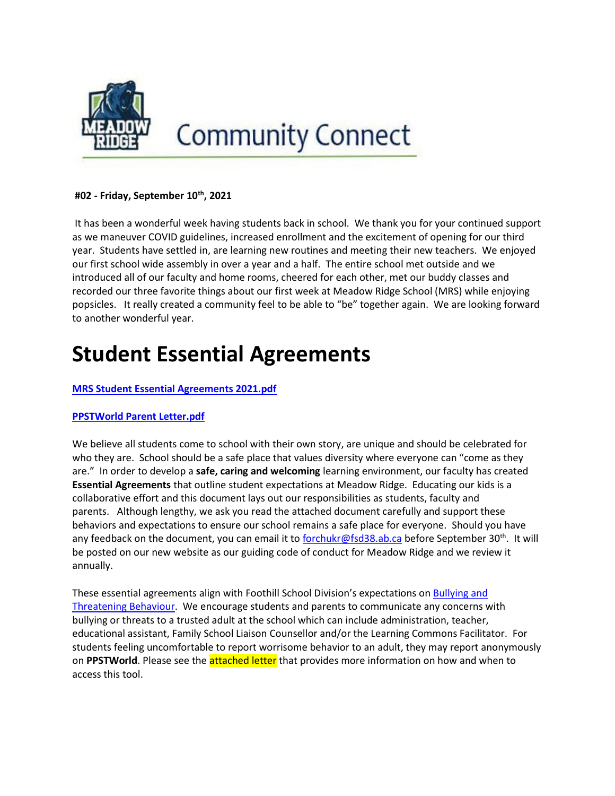

# **Community Connect**

#### **#02 - Friday, September 10th, 2021**

It has been a wonderful week having students back in school. We thank you for your continued support as we maneuver COVID guidelines, increased enrollment and the excitement of opening for our third year. Students have settled in, are learning new routines and meeting their new teachers. We enjoyed our first school wide assembly in over a year and a half. The entire school met outside and we introduced all of our faculty and home rooms, cheered for each other, met our buddy classes and recorded our three favorite things about our first week at Meadow Ridge School (MRS) while enjoying popsicles. It really created a community feel to be able to "be" together again. We are looking forward to another wonderful year.

# **Student Essential Agreements**

#### **[MRS Student Essential Agreements 2021.pdf](http://track.spe.schoolmessenger.com/f/a/scaOnMH0ibK8Mzoe1usI-w~~/AAAAAQA~/RgRjHRfxP0R0aHR0cHM6Ly9tc2cuc2Nob29sbWVzc2VuZ2VyLmNhL20vP3M9RGU5ZjdDemFsTlEmbWFsPTlkNzAyYjg1NjY5MjBlZjFkMDAzZmUyZDk1ZGQzOTFmYzIxZDZiZjBhOWI0ZDc5MDlhN2VkYzY3OTFjMDk1NjhXB3NjaG9vbG1CCmE4ceQ7YeOLwHlSEnNrZWV0YkBmc2QzOC5hYi5jYVgEAAAAAg~~)**

#### **[PPSTWorld Parent Letter.pdf](http://track.spe.schoolmessenger.com/f/a/IX6ebpVOskFBnhurigyQXw~~/AAAAAQA~/RgRjHRfxP0R0aHR0cHM6Ly9tc2cuc2Nob29sbWVzc2VuZ2VyLmNhL20vP3M9RGU5ZjdDemFsTlEmbWFsPTMxMWEwYzExY2ViMTY5N2IwMmIxNDE0MGQ3YzYwZTYwMGI2Nzc5M2FlMTA1NjBhZTM2NjMyNWM1NzBhZGRiZjRXB3NjaG9vbG1CCmE4ceQ7YeOLwHlSEnNrZWV0YkBmc2QzOC5hYi5jYVgEAAAAAg~~)**

We believe all students come to school with their own story, are unique and should be celebrated for who they are. School should be a safe place that values diversity where everyone can "come as they are." In order to develop a **safe, caring and welcoming** learning environment, our faculty has created **Essential Agreements** that outline student expectations at Meadow Ridge. Educating our kids is a collaborative effort and this document lays out our responsibilities as students, faculty and parents. Although lengthy, we ask you read the attached document carefully and support these behaviors and expectations to ensure our school remains a safe place for everyone. Should you have any feedback on the document, you can email it to [forchukr@fsd38.ab.ca](mailto:forchukr@fsd38.ab.ca) before September 30<sup>th</sup>. It will be posted on our new website as our guiding code of conduct for Meadow Ridge and we review it annually.

These essential agreements align with Foothill School Division's expectations on [Bullying and](http://track.spe.schoolmessenger.com/f/a/_CVZjhlIdBJGT3o3jN4FXQ~~/AAAAAQA~/RgRjHRfxP0SMaHR0cHM6Ly9mb290aGlsbHNzdG9yYWdlLmJsb2IuY29yZS53aW5kb3dzLm5ldC9tZWRpYS9EZWZhdWx0L21lZGlhbGliLzE3MC1idWxseWluZy1hbmQtdGhyZWF0ZW5pbmctYmVoYXZpb3VyLXJldmlld2VkLWp1bHktMTQuMjE3NTc3MjY5OS5wZGZXB3NjaG9vbG1CCmE4ceQ7YeOLwHlSEnNrZWV0YkBmc2QzOC5hYi5jYVgEAAAAAg~~)  [Threatening Behaviour.](http://track.spe.schoolmessenger.com/f/a/_CVZjhlIdBJGT3o3jN4FXQ~~/AAAAAQA~/RgRjHRfxP0SMaHR0cHM6Ly9mb290aGlsbHNzdG9yYWdlLmJsb2IuY29yZS53aW5kb3dzLm5ldC9tZWRpYS9EZWZhdWx0L21lZGlhbGliLzE3MC1idWxseWluZy1hbmQtdGhyZWF0ZW5pbmctYmVoYXZpb3VyLXJldmlld2VkLWp1bHktMTQuMjE3NTc3MjY5OS5wZGZXB3NjaG9vbG1CCmE4ceQ7YeOLwHlSEnNrZWV0YkBmc2QzOC5hYi5jYVgEAAAAAg~~) We encourage students and parents to communicate any concerns with bullying or threats to a trusted adult at the school which can include administration, teacher, educational assistant, Family School Liaison Counsellor and/or the Learning Commons Facilitator. For students feeling uncomfortable to report worrisome behavior to an adult, they may report anonymously on **PPSTWorld**. Please see the attached letter that provides more information on how and when to access this tool.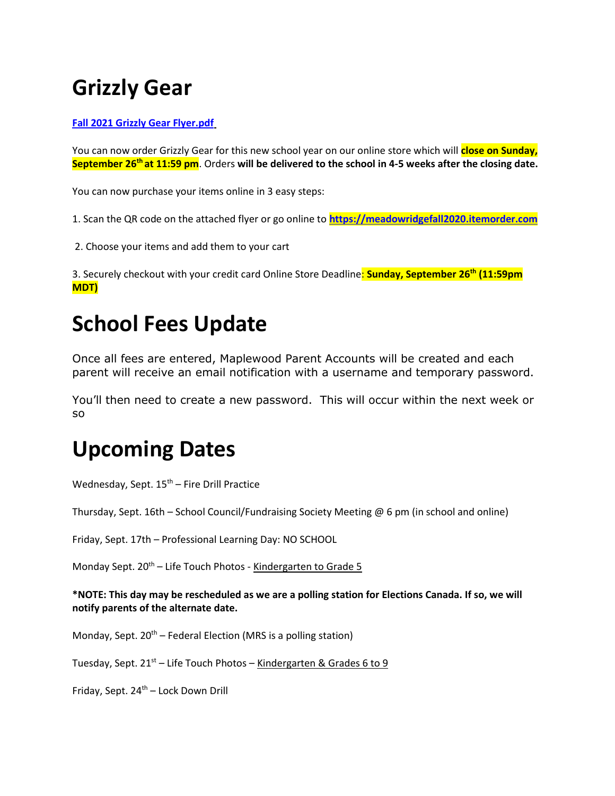# **Grizzly Gear**

#### **[Fall 2021 Grizzly Gear Flyer.pdf](http://track.spe.schoolmessenger.com/f/a/j5DIZM4cM_xoejUyw59Iow~~/AAAAAQA~/RgRjHRfxP0R0aHR0cHM6Ly9tc2cuc2Nob29sbWVzc2VuZ2VyLmNhL20vP3M9RGU5ZjdDemFsTlEmbWFsPTI1ZTZiN2RjZGY2NTE0OGJlMzc2MTg0NjcwZDljZjZkYmMxNDA0OWRmMWI0ZjIxYTIyZTY2N2YyNjViNjllZmVXB3NjaG9vbG1CCmE4ceQ7YeOLwHlSEnNrZWV0YkBmc2QzOC5hYi5jYVgEAAAAAg~~)**

You can now order Grizzly Gear for this new school year on our online store which will **close on Sunday, September 26th at 11:59 pm**. Orders **will be delivered to the school in 4-5 weeks after the closing date.**

You can now purchase your items online in 3 easy steps:

1. Scan the QR code on the attached flyer or go online to **[https://meadowridgefall2020.itemorder.com](http://track.spe.schoolmessenger.com/f/a/qWEflvxQx3Y9A2ATZw8_AQ~~/AAAAAQA~/RgRjHRfxP0QqaHR0cHM6Ly9tZWFkb3dyaWRnZWZhbGwyMDIwLml0ZW1vcmRlci5jb20vVwdzY2hvb2xtQgphOHHkO2Hji8B5UhJza2VldGJAZnNkMzguYWIuY2FYBAAAAAI~)**

2. Choose your items and add them to your cart

3. Securely checkout with your credit card Online Store Deadline: **Sunday, September 26th (11:59pm MDT)**

### **School Fees Update**

Once all fees are entered, Maplewood Parent Accounts will be created and each parent will receive an email notification with a username and temporary password.

You'll then need to create a new password. This will occur within the next week or so

# **Upcoming Dates**

Wednesday, Sept.  $15<sup>th</sup>$  – Fire Drill Practice

Thursday, Sept. 16th – School Council/Fundraising Society Meeting @ 6 pm (in school and online)

Friday, Sept. 17th – Professional Learning Day: NO SCHOOL

Monday Sept.  $20^{th}$  – Life Touch Photos - Kindergarten to Grade 5

**\*NOTE: This day may be rescheduled as we are a polling station for Elections Canada. If so, we will notify parents of the alternate date.**

Monday, Sept.  $20^{th}$  – Federal Election (MRS is a polling station)

Tuesday, Sept.  $21^{st}$  – Life Touch Photos – Kindergarten & Grades 6 to 9

Friday, Sept. 24<sup>th</sup> – Lock Down Drill